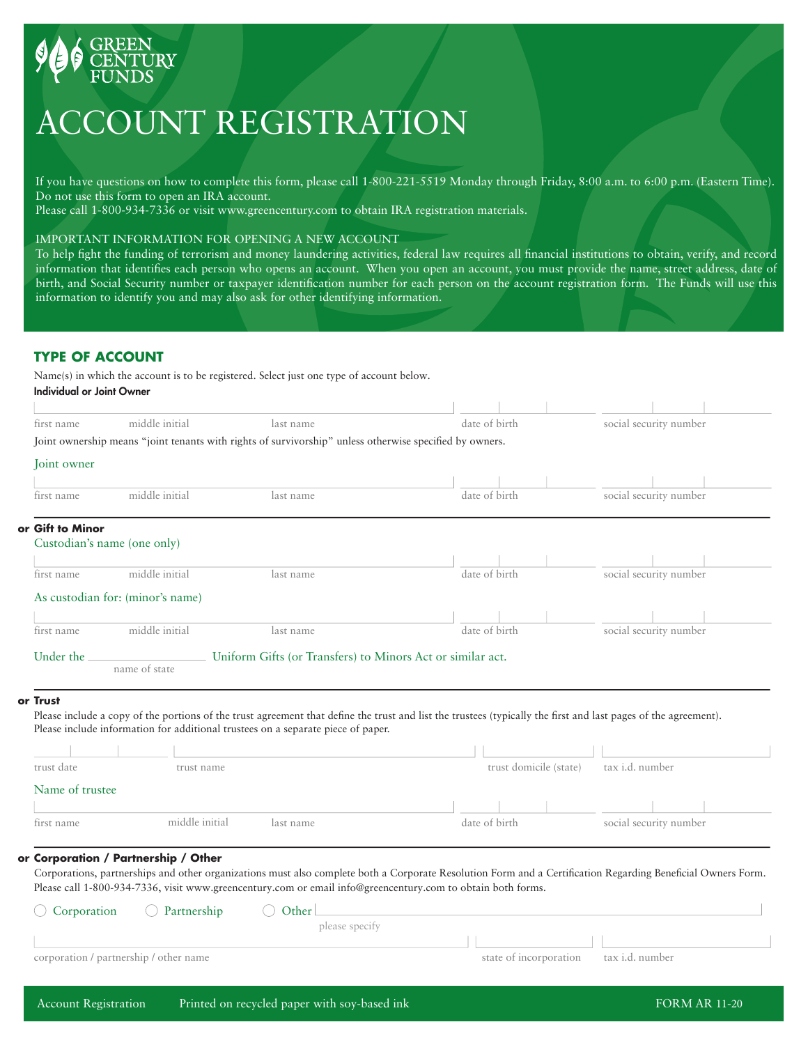

# ACCOUNT REGISTRATION

If you have questions on how to complete this form, please call 1-800-221-5519 Monday through Friday, 8:00 a.m. to 6:00 p.m. (Eastern Time). Do not use this form to open an IRA account.

Please call 1-800-934-7336 or visit www.greencentury.com to obtain IRA registration materials.

## IMPORTANT INFORMATION FOR OPENING A NEW ACCOUNT

To help fight the funding of terrorism and money laundering activities, federal law requires all financial institutions to obtain, verify, and record information that identifies each person who opens an account. When you open an account, you must provide the name, street address, date of birth, and Social Security number or taxpayer identification number for each person on the account registration form. The Funds will use this information to identify you and may also ask for other identifying information.

## **TYPE OF ACCOUNT**

Name(s) in which the account is to be registered. Select just one type of account below. Individual or Joint Owner

| first name       | middle initial                   | last name                                                                                               | date of birth          | social security number                                                                                                                                          |
|------------------|----------------------------------|---------------------------------------------------------------------------------------------------------|------------------------|-----------------------------------------------------------------------------------------------------------------------------------------------------------------|
|                  |                                  | Joint ownership means "joint tenants with rights of survivorship" unless otherwise specified by owners. |                        |                                                                                                                                                                 |
| Joint owner      |                                  |                                                                                                         |                        |                                                                                                                                                                 |
|                  |                                  |                                                                                                         |                        |                                                                                                                                                                 |
| first name       | middle initial                   | last name                                                                                               | date of birth          | social security number                                                                                                                                          |
| or Gift to Minor |                                  |                                                                                                         |                        |                                                                                                                                                                 |
|                  | Custodian's name (one only)      |                                                                                                         |                        |                                                                                                                                                                 |
| first name       | middle initial                   | last name                                                                                               | date of birth          | social security number                                                                                                                                          |
|                  |                                  |                                                                                                         |                        |                                                                                                                                                                 |
|                  | As custodian for: (minor's name) |                                                                                                         |                        |                                                                                                                                                                 |
| first name       | middle initial                   | last name                                                                                               | date of birth          | social security number                                                                                                                                          |
| Under the        |                                  | Uniform Gifts (or Transfers) to Minors Act or similar act.                                              |                        |                                                                                                                                                                 |
|                  | name of state                    |                                                                                                         |                        |                                                                                                                                                                 |
| or Trust         |                                  |                                                                                                         |                        |                                                                                                                                                                 |
|                  |                                  |                                                                                                         |                        | Please include a copy of the portions of the trust agreement that define the trust and list the trustees (typically the first and last pages of the agreement). |
|                  |                                  | Please include information for additional trustees on a separate piece of paper.                        |                        |                                                                                                                                                                 |
|                  |                                  |                                                                                                         |                        |                                                                                                                                                                 |
| trust date       | trust name                       |                                                                                                         | trust domicile (state) | tax i.d. number                                                                                                                                                 |
| Name of trustee  |                                  |                                                                                                         |                        |                                                                                                                                                                 |
|                  |                                  |                                                                                                         |                        |                                                                                                                                                                 |
| first name       | middle initial                   | last name                                                                                               | date of birth          | social security number                                                                                                                                          |

#### **Corporation / Partnership / Other or**

**or**

Corporations, partnerships and other organizations must also complete both a Corporate Resolution Form and a Certification Regarding Beneficial Owners Form. Please call 1-800-934-7336, visit www.greencentury.com or email info@greencentury.com to obtain both forms.

| $\bigcirc$ Corporation                 | $\bigcirc$ Partnership | Other L        |                                        |
|----------------------------------------|------------------------|----------------|----------------------------------------|
|                                        |                        | please specify |                                        |
|                                        |                        |                |                                        |
| corporation / partnership / other name |                        |                | state of incorporation tax i.d. number |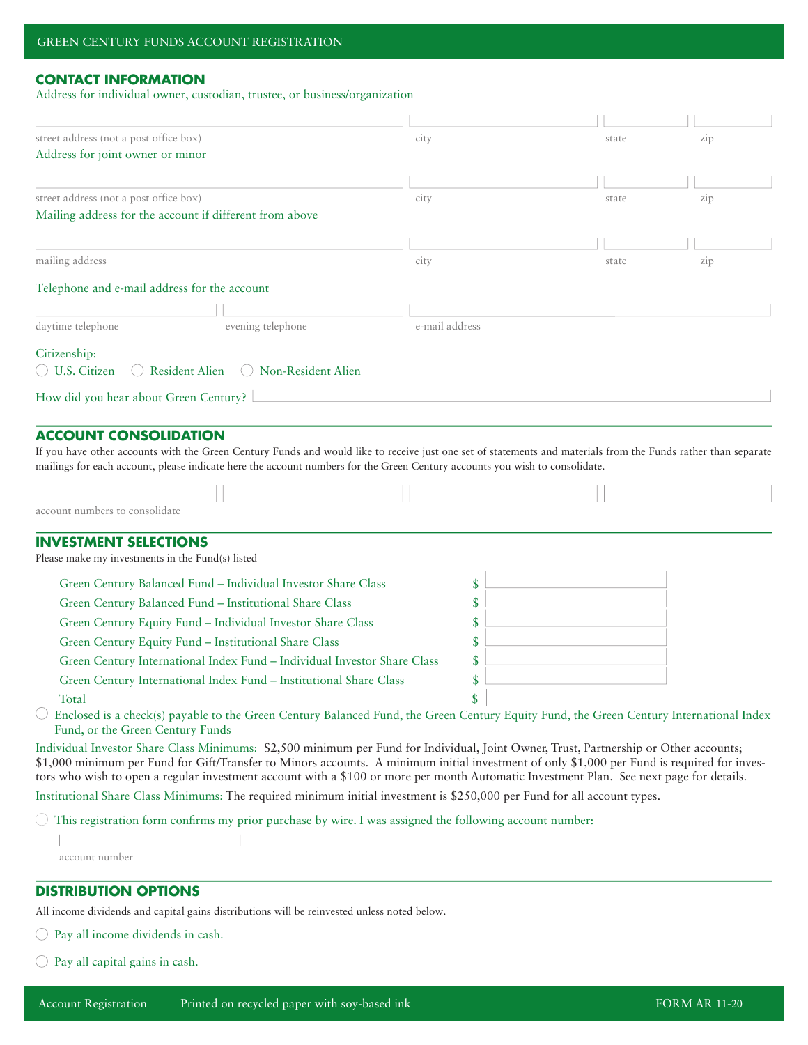# **CONTACT INFORMATION**

Address for individual owner, custodian, trustee, or business/organization

| street address (not a post office box)                                                                                                                                                                                                                                                                                                                                                                                          | city           | state | zip |
|---------------------------------------------------------------------------------------------------------------------------------------------------------------------------------------------------------------------------------------------------------------------------------------------------------------------------------------------------------------------------------------------------------------------------------|----------------|-------|-----|
| Address for joint owner or minor                                                                                                                                                                                                                                                                                                                                                                                                |                |       |     |
|                                                                                                                                                                                                                                                                                                                                                                                                                                 |                |       |     |
| street address (not a post office box)                                                                                                                                                                                                                                                                                                                                                                                          | city           | state | zip |
| Mailing address for the account if different from above                                                                                                                                                                                                                                                                                                                                                                         |                |       |     |
|                                                                                                                                                                                                                                                                                                                                                                                                                                 |                |       |     |
| mailing address                                                                                                                                                                                                                                                                                                                                                                                                                 | city           | state | zip |
| Telephone and e-mail address for the account                                                                                                                                                                                                                                                                                                                                                                                    |                |       |     |
|                                                                                                                                                                                                                                                                                                                                                                                                                                 |                |       |     |
| daytime telephone<br>evening telephone                                                                                                                                                                                                                                                                                                                                                                                          | e-mail address |       |     |
|                                                                                                                                                                                                                                                                                                                                                                                                                                 |                |       |     |
| Citizenship:<br>Resident Alien                                                                                                                                                                                                                                                                                                                                                                                                  |                |       |     |
| ◯ U.S. Citizen<br>(c) Non-Resident Alien                                                                                                                                                                                                                                                                                                                                                                                        |                |       |     |
| How did you hear about Green Century?                                                                                                                                                                                                                                                                                                                                                                                           |                |       |     |
|                                                                                                                                                                                                                                                                                                                                                                                                                                 |                |       |     |
| <b>ACCOUNT CONSOLIDATION</b>                                                                                                                                                                                                                                                                                                                                                                                                    |                |       |     |
| If you have other accounts with the Green Century Funds and would like to receive just one set of statements and materials from the Funds rather than separate<br>mailings for each account, please indicate here the account numbers for the Green Century accounts you wish to consolidate.                                                                                                                                   |                |       |     |
|                                                                                                                                                                                                                                                                                                                                                                                                                                 |                |       |     |
|                                                                                                                                                                                                                                                                                                                                                                                                                                 |                |       |     |
| account numbers to consolidate                                                                                                                                                                                                                                                                                                                                                                                                  |                |       |     |
| <b>INVESTMENT SELECTIONS</b>                                                                                                                                                                                                                                                                                                                                                                                                    |                |       |     |
| Please make my investments in the Fund(s) listed                                                                                                                                                                                                                                                                                                                                                                                |                |       |     |
| Green Century Balanced Fund - Individual Investor Share Class                                                                                                                                                                                                                                                                                                                                                                   | \$             |       |     |
| Green Century Balanced Fund - Institutional Share Class                                                                                                                                                                                                                                                                                                                                                                         | \$             |       |     |
| Green Century Equity Fund - Individual Investor Share Class                                                                                                                                                                                                                                                                                                                                                                     | \$             |       |     |
| Green Century Equity Fund - Institutional Share Class                                                                                                                                                                                                                                                                                                                                                                           | S              |       |     |
| Green Century International Index Fund - Individual Investor Share Class                                                                                                                                                                                                                                                                                                                                                        | \$             |       |     |
| Green Century International Index Fund - Institutional Share Class                                                                                                                                                                                                                                                                                                                                                              | \$             |       |     |
| Total                                                                                                                                                                                                                                                                                                                                                                                                                           |                |       |     |
| Enclosed is a check(s) payable to the Green Century Balanced Fund, the Green Century Equity Fund, the Green Century International Index<br>Fund, or the Green Century Funds                                                                                                                                                                                                                                                     |                |       |     |
| Individual Investor Share Class Minimums: \$2,500 minimum per Fund for Individual, Joint Owner, Trust, Partnership or Other accounts;<br>\$1,000 minimum per Fund for Gift/Transfer to Minors accounts. A minimum initial investment of only \$1,000 per Fund is required for inves-<br>tors who wish to open a regular investment account with a \$100 or more per month Automatic Investment Plan. See next page for details. |                |       |     |
| Institutional Share Class Minimums: The required minimum initial investment is \$250,000 per Fund for all account types.                                                                                                                                                                                                                                                                                                        |                |       |     |
| This registration form confirms my prior purchase by wire. I was assigned the following account number:                                                                                                                                                                                                                                                                                                                         |                |       |     |
|                                                                                                                                                                                                                                                                                                                                                                                                                                 |                |       |     |
| account number                                                                                                                                                                                                                                                                                                                                                                                                                  |                |       |     |
|                                                                                                                                                                                                                                                                                                                                                                                                                                 |                |       |     |
| <b>DISTRIBUTION OPTIONS</b>                                                                                                                                                                                                                                                                                                                                                                                                     |                |       |     |

All income dividends and capital gains distributions will be reinvested unless noted below.

 $\bigcirc$  Pay all income dividends in cash.

 $\bigcirc$  Pay all capital gains in cash.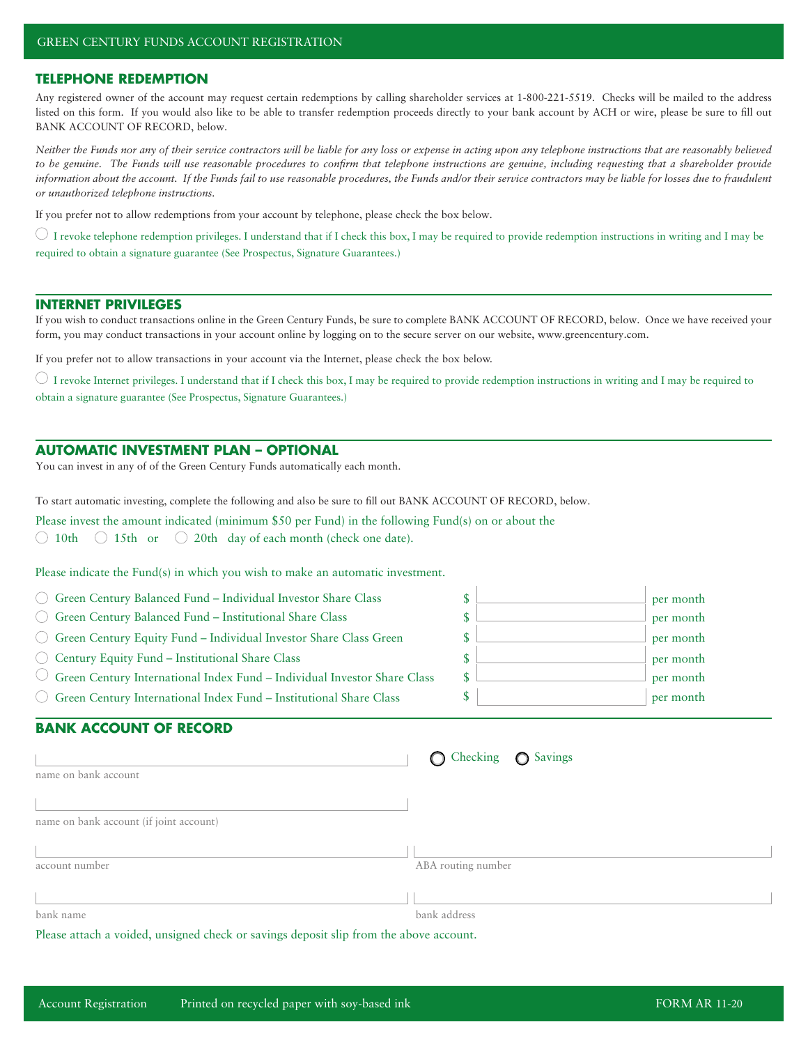#### **TELEPHONE REDEMPTION**

Any registered owner of the account may request certain redemptions by calling shareholder services at 1-800-221-5519. Checks will be mailed to the address listed on this form. If you would also like to be able to transfer redemption proceeds directly to your bank account by ACH or wire, please be sure to fill out BANK ACCOUNT OF RECORD, below.

*Neither the Funds nor any of their service contractors will be liable for any loss or expense in acting upon any telephone instructions that are reasonably believed*  to be genuine. The Funds will use reasonable procedures to confirm that telephone instructions are genuine, including requesting that a shareholder provide *information about the account. If the Funds fail to use reasonable procedures, the Funds and/or their service contractors may be liable for losses due to fraudulent or unauthorized telephone instructions.*

If you prefer not to allow redemptions from your account by telephone, please check the box below.

 $\circlearrowright$  I revoke telephone redemption privileges. I understand that if I check this box, I may be required to provide redemption instructions in writing and I may be required to obtain a signature guarantee (See Prospectus, Signature Guarantees.)

### **INTERNET PRIVILEGES**

If you wish to conduct transactions online in the Green Century Funds, be sure to complete BANK ACCOUNT OF RECORD, below. Once we have received your form, you may conduct transactions in your account online by logging on to the secure server on our website, www.greencentury.com.

If you prefer not to allow transactions in your account via the Internet, please check the box below.

 $\circlearrowright$  I revoke Internet privileges. I understand that if I check this box, I may be required to provide redemption instructions in writing and I may be required to obtain a signature guarantee (See Prospectus, Signature Guarantees.)

## **AUTOMATIC INVESTMENT PLAN – OPTIONAL**

You can invest in any of of the Green Century Funds automatically each month.

To start automatic investing, complete the following and also be sure to fill out BANK ACCOUNT OF RECORD, below.

Please invest the amount indicated (minimum \$50 per Fund) in the following Fund(s) on or about the

 $\bigcirc$  10th  $\bigcirc$  15th or  $\bigcirc$  20th day of each month (check one date).

Please indicate the Fund(s) in which you wish to make an automatic investment.

| ◯ Green Century Balanced Fund – Individual Investor Share Class                              | per month |  |
|----------------------------------------------------------------------------------------------|-----------|--|
| $\bigcirc$ Green Century Balanced Fund – Institutional Share Class                           | per month |  |
| $\bigcirc$ Green Century Equity Fund – Individual Investor Share Class Green                 | per month |  |
| $\bigcirc$ Century Equity Fund – Institutional Share Class                                   | per month |  |
| $\circlearrowright$ Green Century International Index Fund – Individual Investor Share Class | per month |  |
| $\bigcirc$ Green Century International Index Fund – Institutional Share Class                | per month |  |

# **BANK ACCOUNT OF RECORD**

| name on bank account                    | O Checking O Savings |
|-----------------------------------------|----------------------|
| name on bank account (if joint account) |                      |
| account number                          | ABA routing number   |
| bank name                               | bank address         |

Please attach a voided, unsigned check or savings deposit slip from the above account.